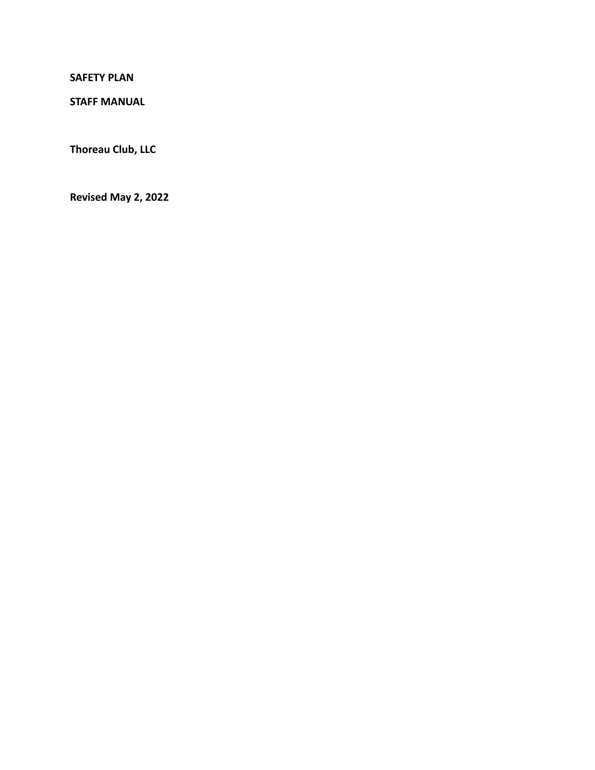**SAFETY PLAN**

**STAFF MANUAL**

**Thoreau Club, LLC**

**Revised May 2, 2022**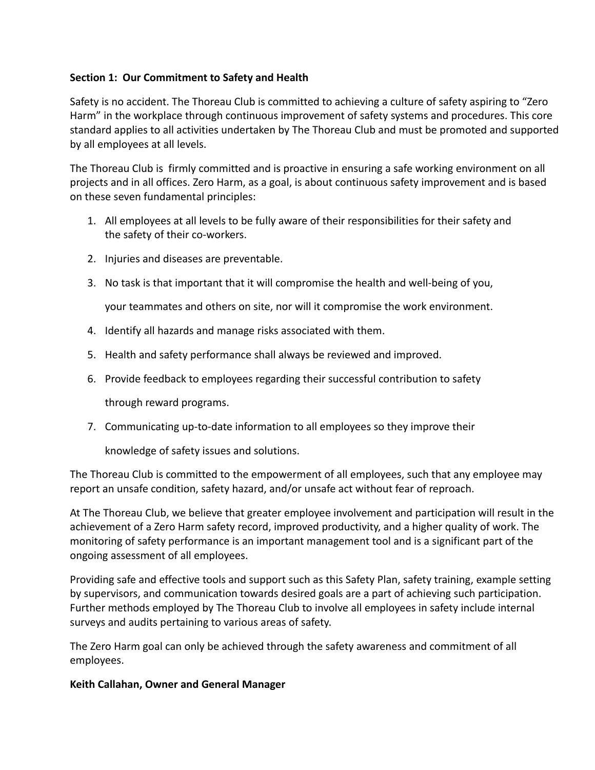# **Section 1: Our Commitment to Safety and Health**

Safety is no accident. The Thoreau Club is committed to achieving a culture of safety aspiring to "Zero Harm" in the workplace through continuous improvement of safety systems and procedures. This core standard applies to all activities undertaken by The Thoreau Club and must be promoted and supported by all employees at all levels.

The Thoreau Club is firmly committed and is proactive in ensuring a safe working environment on all projects and in all offices. Zero Harm, as a goal, is about continuous safety improvement and is based on these seven fundamental principles:

- 1. All employees at all levels to be fully aware of their responsibilities for their safety and the safety of their co-workers.
- 2. Injuries and diseases are preventable.
- 3. No task is that important that it will compromise the health and well-being of you,

your teammates and others on site, nor will it compromise the work environment.

- 4. Identify all hazards and manage risks associated with them.
- 5. Health and safety performance shall always be reviewed and improved.
- 6. Provide feedback to employees regarding their successful contribution to safety

through reward programs.

7. Communicating up-to-date information to all employees so they improve their

knowledge of safety issues and solutions.

The Thoreau Club is committed to the empowerment of all employees, such that any employee may report an unsafe condition, safety hazard, and/or unsafe act without fear of reproach.

At The Thoreau Club, we believe that greater employee involvement and participation will result in the achievement of a Zero Harm safety record, improved productivity, and a higher quality of work. The monitoring of safety performance is an important management tool and is a significant part of the ongoing assessment of all employees.

Providing safe and effective tools and support such as this Safety Plan, safety training, example setting by supervisors, and communication towards desired goals are a part of achieving such participation. Further methods employed by The Thoreau Club to involve all employees in safety include internal surveys and audits pertaining to various areas of safety.

The Zero Harm goal can only be achieved through the safety awareness and commitment of all employees.

### **Keith Callahan, Owner and General Manager**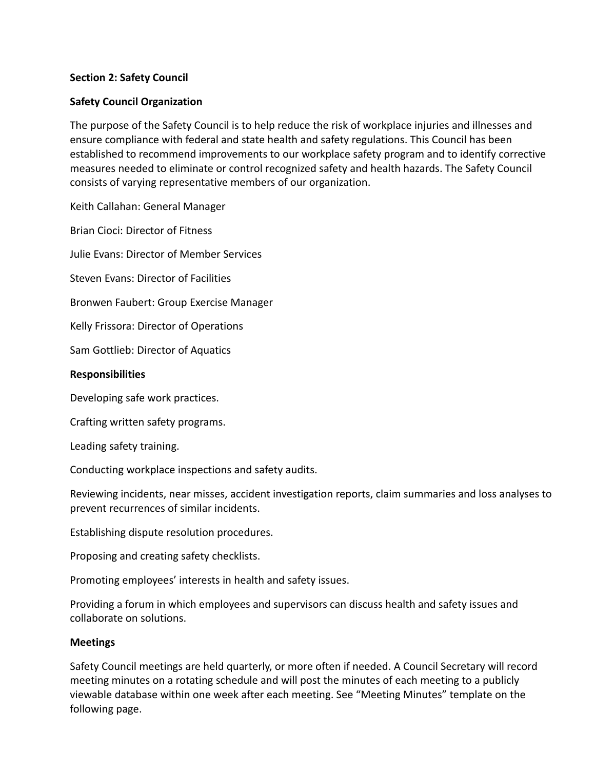# **Section 2: Safety Council**

# **Safety Council Organization**

The purpose of the Safety Council is to help reduce the risk of workplace injuries and illnesses and ensure compliance with federal and state health and safety regulations. This Council has been established to recommend improvements to our workplace safety program and to identify corrective measures needed to eliminate or control recognized safety and health hazards. The Safety Council consists of varying representative members of our organization.

Keith Callahan: General Manager

Brian Cioci: Director of Fitness

Julie Evans: Director of Member Services

Steven Evans: Director of Facilities

Bronwen Faubert: Group Exercise Manager

Kelly Frissora: Director of Operations

Sam Gottlieb: Director of Aquatics

### **Responsibilities**

Developing safe work practices.

Crafting written safety programs.

Leading safety training.

Conducting workplace inspections and safety audits.

Reviewing incidents, near misses, accident investigation reports, claim summaries and loss analyses to prevent recurrences of similar incidents.

Establishing dispute resolution procedures.

Proposing and creating safety checklists.

Promoting employees' interests in health and safety issues.

Providing a forum in which employees and supervisors can discuss health and safety issues and collaborate on solutions.

### **Meetings**

Safety Council meetings are held quarterly, or more often if needed. A Council Secretary will record meeting minutes on a rotating schedule and will post the minutes of each meeting to a publicly viewable database within one week after each meeting. See "Meeting Minutes" template on the following page.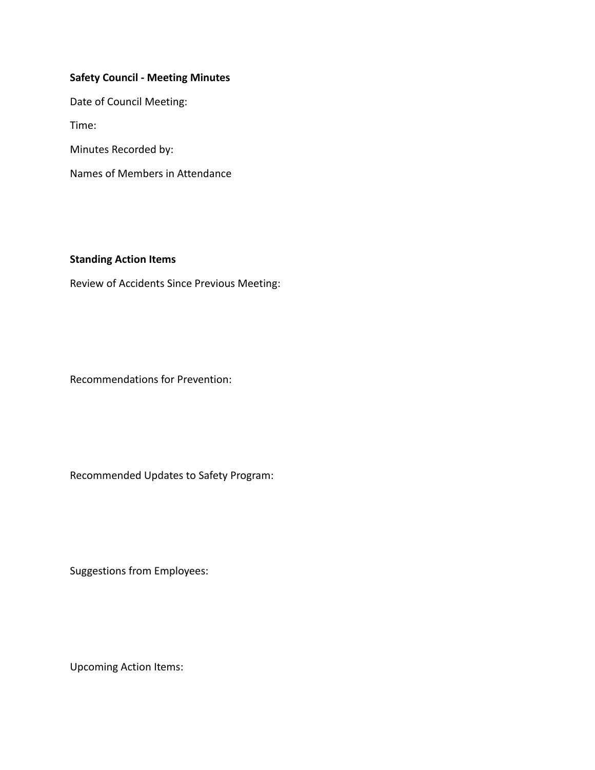# **Safety Council - Meeting Minutes**

Date of Council Meeting:

Time:

Minutes Recorded by:

Names of Members in Attendance

# **Standing Action Items**

Review of Accidents Since Previous Meeting:

Recommendations for Prevention:

Recommended Updates to Safety Program:

Suggestions from Employees:

Upcoming Action Items: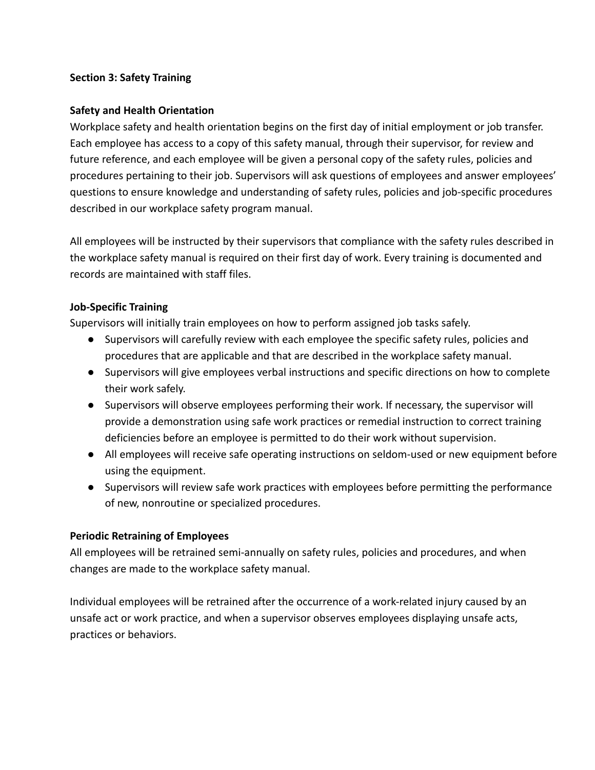# **Section 3: Safety Training**

# **Safety and Health Orientation**

Workplace safety and health orientation begins on the first day of initial employment or job transfer. Each employee has access to a copy of this safety manual, through their supervisor, for review and future reference, and each employee will be given a personal copy of the safety rules, policies and procedures pertaining to their job. Supervisors will ask questions of employees and answer employees' questions to ensure knowledge and understanding of safety rules, policies and job-specific procedures described in our workplace safety program manual.

All employees will be instructed by their supervisors that compliance with the safety rules described in the workplace safety manual is required on their first day of work. Every training is documented and records are maintained with staff files.

# **Job-Specific Training**

Supervisors will initially train employees on how to perform assigned job tasks safely.

- Supervisors will carefully review with each employee the specific safety rules, policies and procedures that are applicable and that are described in the workplace safety manual.
- Supervisors will give employees verbal instructions and specific directions on how to complete their work safely.
- Supervisors will observe employees performing their work. If necessary, the supervisor will provide a demonstration using safe work practices or remedial instruction to correct training deficiencies before an employee is permitted to do their work without supervision.
- All employees will receive safe operating instructions on seldom-used or new equipment before using the equipment.
- Supervisors will review safe work practices with employees before permitting the performance of new, nonroutine or specialized procedures.

### **Periodic Retraining of Employees**

All employees will be retrained semi-annually on safety rules, policies and procedures, and when changes are made to the workplace safety manual.

Individual employees will be retrained after the occurrence of a work-related injury caused by an unsafe act or work practice, and when a supervisor observes employees displaying unsafe acts, practices or behaviors.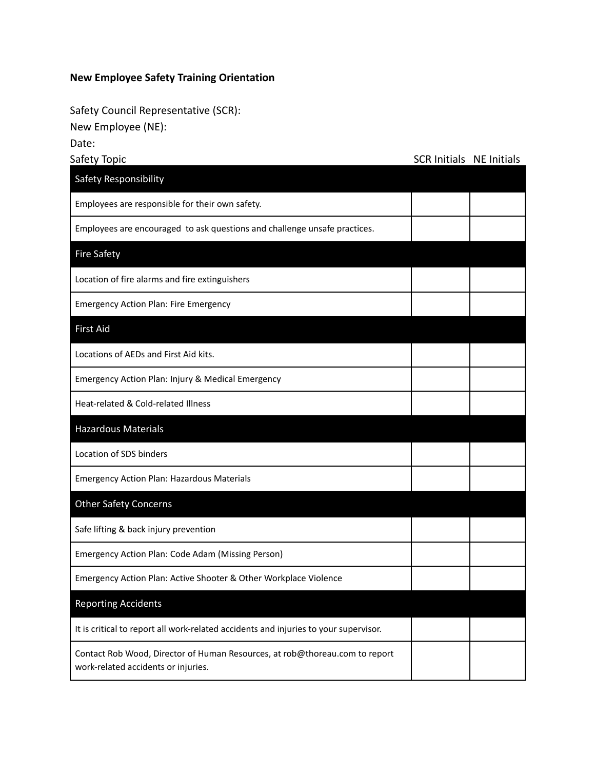# **New Employee Safety Training Orientation**

Safety Council Representative (SCR):

New Employee (NE):

Date:

| Safety Topic                                                                                                       | <b>SCR Initials NE Initials</b> |  |
|--------------------------------------------------------------------------------------------------------------------|---------------------------------|--|
| Safety Responsibility                                                                                              |                                 |  |
| Employees are responsible for their own safety.                                                                    |                                 |  |
| Employees are encouraged to ask questions and challenge unsafe practices.                                          |                                 |  |
| <b>Fire Safety</b>                                                                                                 |                                 |  |
| Location of fire alarms and fire extinguishers                                                                     |                                 |  |
| <b>Emergency Action Plan: Fire Emergency</b>                                                                       |                                 |  |
| <b>First Aid</b>                                                                                                   |                                 |  |
| Locations of AEDs and First Aid kits.                                                                              |                                 |  |
| Emergency Action Plan: Injury & Medical Emergency                                                                  |                                 |  |
| Heat-related & Cold-related Illness                                                                                |                                 |  |
| <b>Hazardous Materials</b>                                                                                         |                                 |  |
| Location of SDS binders                                                                                            |                                 |  |
| <b>Emergency Action Plan: Hazardous Materials</b>                                                                  |                                 |  |
| <b>Other Safety Concerns</b>                                                                                       |                                 |  |
| Safe lifting & back injury prevention                                                                              |                                 |  |
| Emergency Action Plan: Code Adam (Missing Person)                                                                  |                                 |  |
| Emergency Action Plan: Active Shooter & Other Workplace Violence                                                   |                                 |  |
| <b>Reporting Accidents</b>                                                                                         |                                 |  |
| It is critical to report all work-related accidents and injuries to your supervisor.                               |                                 |  |
| Contact Rob Wood, Director of Human Resources, at rob@thoreau.com to report<br>work-related accidents or injuries. |                                 |  |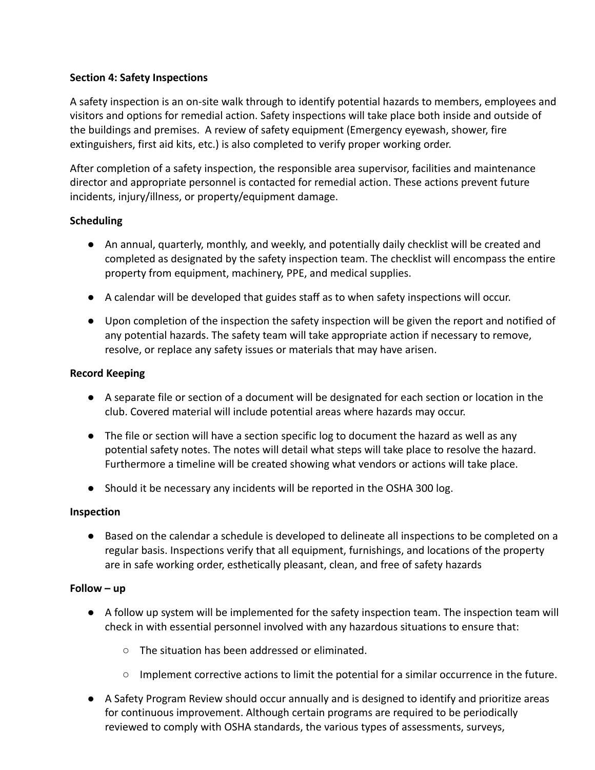# **Section 4: Safety Inspections**

A safety inspection is an on-site walk through to identify potential hazards to members, employees and visitors and options for remedial action. Safety inspections will take place both inside and outside of the buildings and premises. A review of safety equipment (Emergency eyewash, shower, fire extinguishers, first aid kits, etc.) is also completed to verify proper working order.

After completion of a safety inspection, the responsible area supervisor, facilities and maintenance director and appropriate personnel is contacted for remedial action. These actions prevent future incidents, injury/illness, or property/equipment damage.

# **Scheduling**

- An annual, quarterly, monthly, and weekly, and potentially daily checklist will be created and completed as designated by the safety inspection team. The checklist will encompass the entire property from equipment, machinery, PPE, and medical supplies.
- A calendar will be developed that guides staff as to when safety inspections will occur.
- Upon completion of the inspection the safety inspection will be given the report and notified of any potential hazards. The safety team will take appropriate action if necessary to remove, resolve, or replace any safety issues or materials that may have arisen.

# **Record Keeping**

- A separate file or section of a document will be designated for each section or location in the club. Covered material will include potential areas where hazards may occur.
- The file or section will have a section specific log to document the hazard as well as any potential safety notes. The notes will detail what steps will take place to resolve the hazard. Furthermore a timeline will be created showing what vendors or actions will take place.
- Should it be necessary any incidents will be reported in the OSHA 300 log.

### **Inspection**

● Based on the calendar a schedule is developed to delineate all inspections to be completed on a regular basis. Inspections verify that all equipment, furnishings, and locations of the property are in safe working order, esthetically pleasant, clean, and free of safety hazards

### **Follow – up**

- A follow up system will be implemented for the safety inspection team. The inspection team will check in with essential personnel involved with any hazardous situations to ensure that:
	- The situation has been addressed or eliminated.
	- Implement corrective actions to limit the potential for a similar occurrence in the future.
- A Safety Program Review should occur annually and is designed to identify and prioritize areas for continuous improvement. Although certain programs are required to be periodically reviewed to comply with OSHA standards, the various types of assessments, surveys,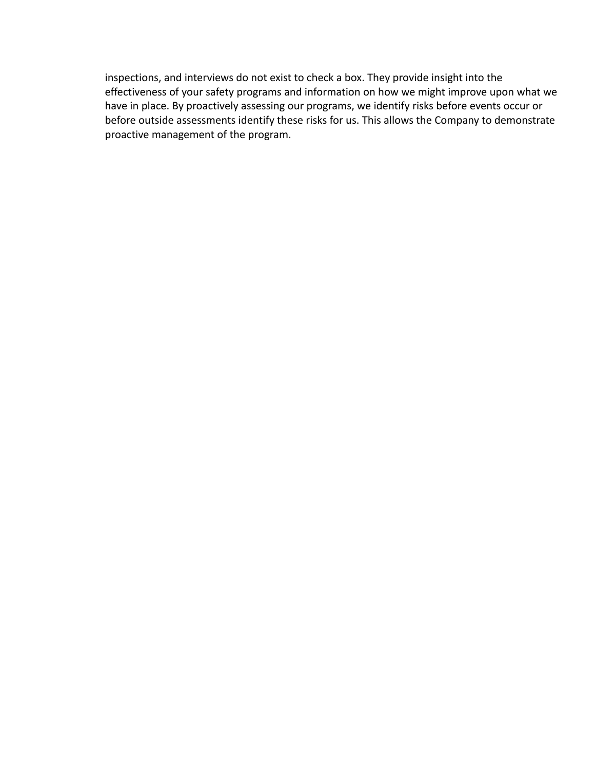inspections, and interviews do not exist to check a box. They provide insight into the effectiveness of your safety programs and information on how we might improve upon what we have in place. By proactively assessing our programs, we identify risks before events occur or before outside assessments identify these risks for us. This allows the Company to demonstrate proactive management of the program.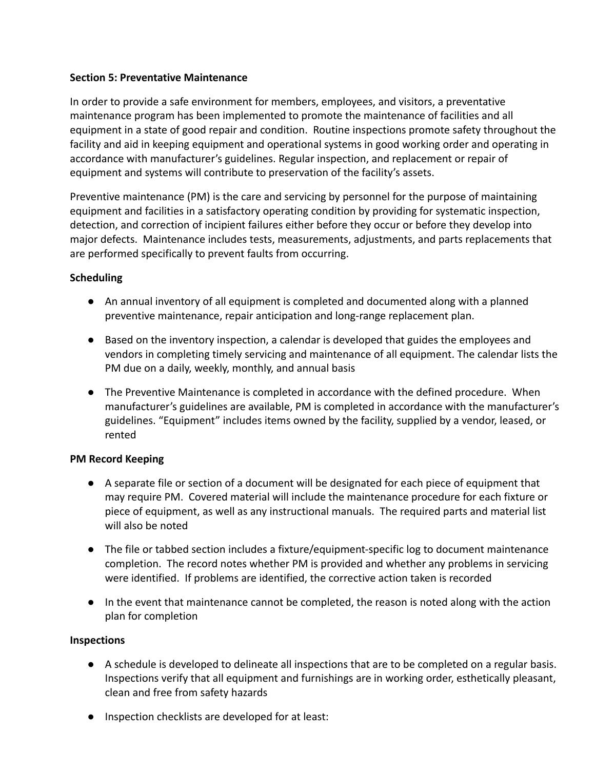# **Section 5: Preventative Maintenance**

In order to provide a safe environment for members, employees, and visitors, a preventative maintenance program has been implemented to promote the maintenance of facilities and all equipment in a state of good repair and condition. Routine inspections promote safety throughout the facility and aid in keeping equipment and operational systems in good working order and operating in accordance with manufacturer's guidelines. Regular inspection, and replacement or repair of equipment and systems will contribute to preservation of the facility's assets.

Preventive maintenance (PM) is the care and servicing by personnel for the purpose of maintaining equipment and facilities in a satisfactory operating condition by providing for systematic inspection, detection, and correction of incipient failures either before they occur or before they develop into major defects. Maintenance includes tests, measurements, adjustments, and parts replacements that are performed specifically to prevent faults from occurring.

# **Scheduling**

- An annual inventory of all equipment is completed and documented along with a planned preventive maintenance, repair anticipation and long-range replacement plan.
- Based on the inventory inspection, a calendar is developed that guides the employees and vendors in completing timely servicing and maintenance of all equipment. The calendar lists the PM due on a daily, weekly, monthly, and annual basis
- The Preventive Maintenance is completed in accordance with the defined procedure. When manufacturer's guidelines are available, PM is completed in accordance with the manufacturer's guidelines. "Equipment" includes items owned by the facility, supplied by a vendor, leased, or rented

# **PM Record Keeping**

- A separate file or section of a document will be designated for each piece of equipment that may require PM. Covered material will include the maintenance procedure for each fixture or piece of equipment, as well as any instructional manuals. The required parts and material list will also be noted
- The file or tabbed section includes a fixture/equipment-specific log to document maintenance completion. The record notes whether PM is provided and whether any problems in servicing were identified. If problems are identified, the corrective action taken is recorded
- In the event that maintenance cannot be completed, the reason is noted along with the action plan for completion

### **Inspections**

- A schedule is developed to delineate all inspections that are to be completed on a regular basis. Inspections verify that all equipment and furnishings are in working order, esthetically pleasant, clean and free from safety hazards
- Inspection checklists are developed for at least: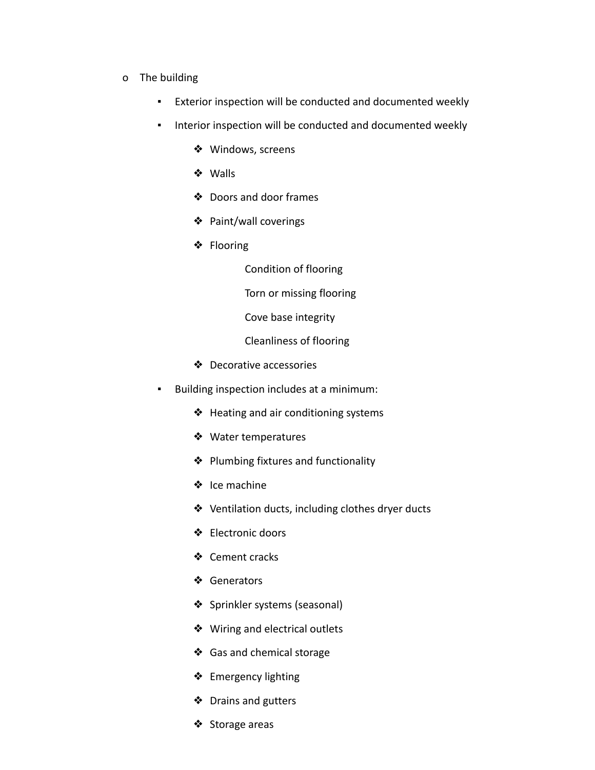- o The building
	- Exterior inspection will be conducted and documented weekly
	- **·** Interior inspection will be conducted and documented weekly
		- ❖ Windows, screens
		- ❖ Walls
		- ❖ Doors and door frames
		- ❖ Paint/wall coverings
		- ❖ Flooring

Condition of flooring

Torn or missing flooring

Cove base integrity

Cleanliness of flooring

- ❖ Decorative accessories
- Building inspection includes at a minimum:
	- ❖ Heating and air conditioning systems
	- ❖ Water temperatures
	- ❖ Plumbing fixtures and functionality
	- ❖ Ice machine
	- ❖ Ventilation ducts, including clothes dryer ducts
	- ❖ Electronic doors
	- ❖ Cement cracks
	- ❖ Generators
	- ❖ Sprinkler systems (seasonal)
	- ❖ Wiring and electrical outlets
	- ❖ Gas and chemical storage
	- ❖ Emergency lighting
	- ❖ Drains and gutters
	- ❖ Storage areas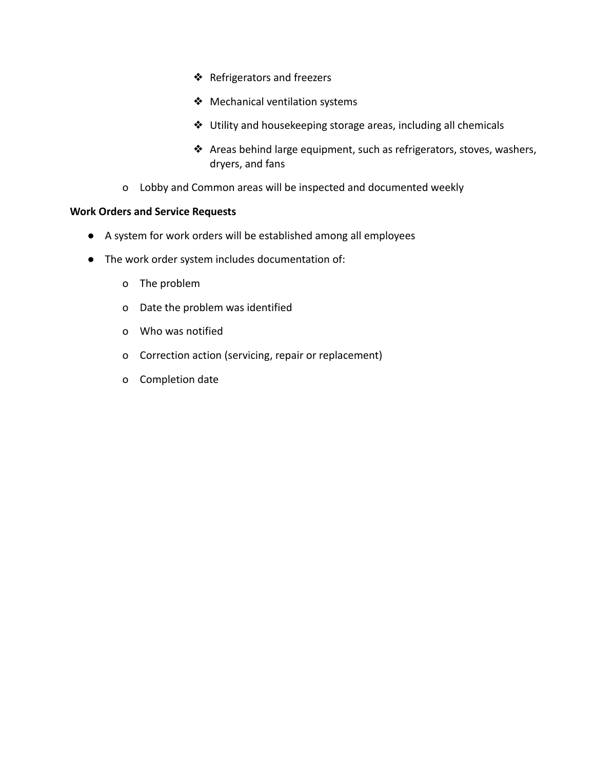- ❖ Refrigerators and freezers
- ❖ Mechanical ventilation systems
- ❖ Utility and housekeeping storage areas, including all chemicals
- ❖ Areas behind large equipment, such as refrigerators, stoves, washers, dryers, and fans
- o Lobby and Common areas will be inspected and documented weekly

### **Work Orders and Service Requests**

- A system for work orders will be established among all employees
- The work order system includes documentation of:
	- o The problem
	- o Date the problem was identified
	- o Who was notified
	- o Correction action (servicing, repair or replacement)
	- o Completion date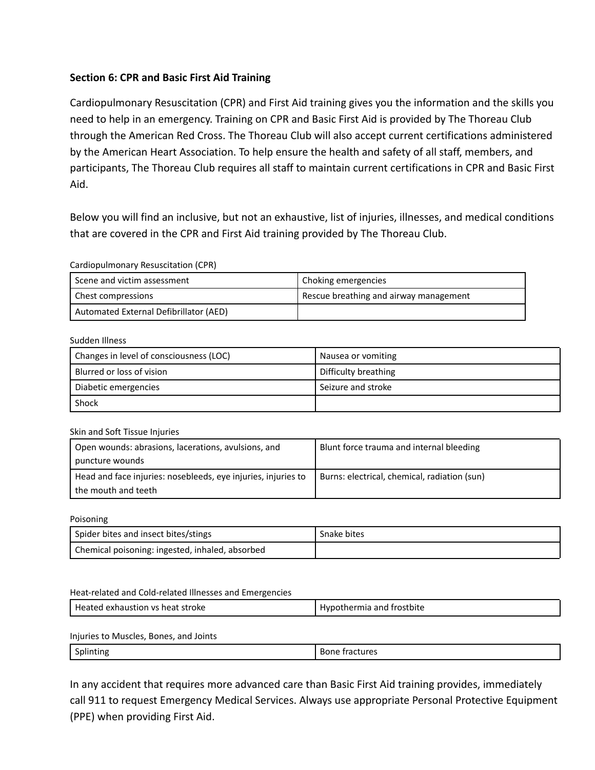# **Section 6: CPR and Basic First Aid Training**

Cardiopulmonary Resuscitation (CPR) and First Aid training gives you the information and the skills you need to help in an emergency. Training on CPR and Basic First Aid is provided by The Thoreau Club through the American Red Cross. The Thoreau Club will also accept current certifications administered by the American Heart Association. To help ensure the health and safety of all staff, members, and participants, The Thoreau Club requires all staff to maintain current certifications in CPR and Basic First Aid.

Below you will find an inclusive, but not an exhaustive, list of injuries, illnesses, and medical conditions that are covered in the CPR and First Aid training provided by The Thoreau Club.

#### Cardiopulmonary Resuscitation (CPR)

| Scene and victim assessment            | Choking emergencies                    |
|----------------------------------------|----------------------------------------|
| Chest compressions                     | Rescue breathing and airway management |
| Automated External Defibrillator (AED) |                                        |

#### Sudden Illness

| Changes in level of consciousness (LOC) | Nausea or vomiting   |
|-----------------------------------------|----------------------|
| Blurred or loss of vision               | Difficulty breathing |
| Diabetic emergencies                    | Seizure and stroke   |
| Shock                                   |                      |

#### Skin and Soft Tissue Injuries

| Open wounds: abrasions, lacerations, avulsions, and           | Blunt force trauma and internal bleeding     |  |
|---------------------------------------------------------------|----------------------------------------------|--|
| puncture wounds                                               |                                              |  |
| Head and face injuries: nosebleeds, eye injuries, injuries to | Burns: electrical, chemical, radiation (sun) |  |
| the mouth and teeth                                           |                                              |  |

#### Poisoning

| Spider bites and insect bites/stings            | Snake bites |
|-------------------------------------------------|-------------|
| Chemical poisoning: ingested, inhaled, absorbed |             |

#### Heat-related and Cold-related Illnesses and Emergencies

| He:<br>ieat stroke<br>xhaustion<br>.<br>V <sup>2</sup><br>oνk<br>гег<br>. | trostbite<br>ano<br>шы |
|---------------------------------------------------------------------------|------------------------|
|---------------------------------------------------------------------------|------------------------|

#### Injuries to Muscles, Bones, and Joints

Splinting and Bone fractures

In any accident that requires more advanced care than Basic First Aid training provides, immediately call 911 to request Emergency Medical Services. Always use appropriate Personal Protective Equipment (PPE) when providing First Aid.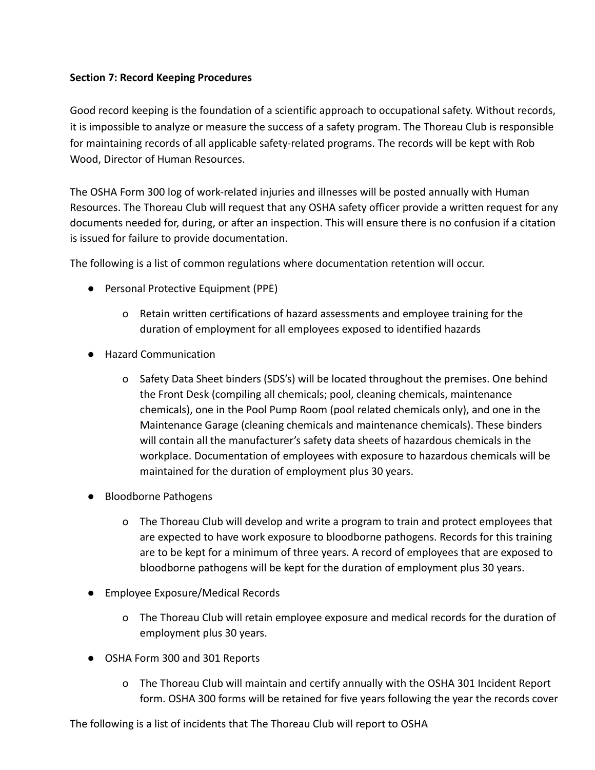# **Section 7: Record Keeping Procedures**

Good record keeping is the foundation of a scientific approach to occupational safety. Without records, it is impossible to analyze or measure the success of a safety program. The Thoreau Club is responsible for maintaining records of all applicable safety-related programs. The records will be kept with Rob Wood, Director of Human Resources.

The OSHA Form 300 log of work-related injuries and illnesses will be posted annually with Human Resources. The Thoreau Club will request that any OSHA safety officer provide a written request for any documents needed for, during, or after an inspection. This will ensure there is no confusion if a citation is issued for failure to provide documentation.

The following is a list of common regulations where documentation retention will occur.

- Personal Protective Equipment (PPE)
	- o Retain written certifications of hazard assessments and employee training for the duration of employment for all employees exposed to identified hazards
- Hazard Communication
	- o Safety Data Sheet binders (SDS's) will be located throughout the premises. One behind the Front Desk (compiling all chemicals; pool, cleaning chemicals, maintenance chemicals), one in the Pool Pump Room (pool related chemicals only), and one in the Maintenance Garage (cleaning chemicals and maintenance chemicals). These binders will contain all the manufacturer's safety data sheets of hazardous chemicals in the workplace. Documentation of employees with exposure to hazardous chemicals will be maintained for the duration of employment plus 30 years.
- Bloodborne Pathogens
	- o The Thoreau Club will develop and write a program to train and protect employees that are expected to have work exposure to bloodborne pathogens. Records for this training are to be kept for a minimum of three years. A record of employees that are exposed to bloodborne pathogens will be kept for the duration of employment plus 30 years.
- Employee Exposure/Medical Records
	- o The Thoreau Club will retain employee exposure and medical records for the duration of employment plus 30 years.
- OSHA Form 300 and 301 Reports
	- o The Thoreau Club will maintain and certify annually with the OSHA 301 Incident Report form. OSHA 300 forms will be retained for five years following the year the records cover

The following is a list of incidents that The Thoreau Club will report to OSHA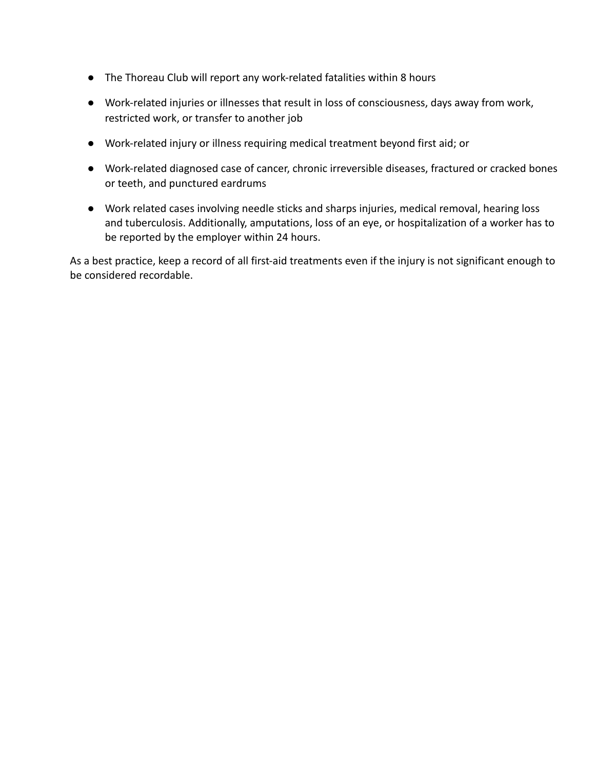- The Thoreau Club will report any work-related fatalities within 8 hours
- Work-related injuries or illnesses that result in loss of consciousness, days away from work, restricted work, or transfer to another job
- Work-related injury or illness requiring medical treatment beyond first aid; or
- Work-related diagnosed case of cancer, chronic irreversible diseases, fractured or cracked bones or teeth, and punctured eardrums
- Work related cases involving needle sticks and sharps injuries, medical removal, hearing loss and tuberculosis. Additionally, amputations, loss of an eye, or hospitalization of a worker has to be reported by the employer within 24 hours.

As a best practice, keep a record of all first-aid treatments even if the injury is not significant enough to be considered recordable.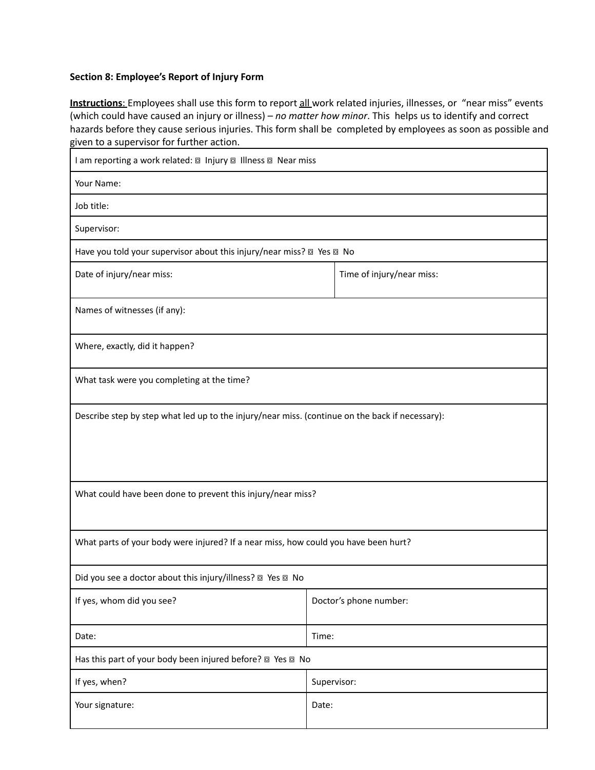#### **Section 8: Employee's Report of Injury Form**

**Instructions**: Employees shall use this form to report all work related injuries, illnesses, or "near miss" events (which could have caused an injury or illness) – *no matter how minor*. This helps us to identify and correct hazards before they cause serious injuries. This form shall be completed by employees as soon as possible and given to a supervisor for further action.

| I am reporting a work related: a Injury a Illness a Near miss                                   |                           |  |  |
|-------------------------------------------------------------------------------------------------|---------------------------|--|--|
| Your Name:                                                                                      |                           |  |  |
| Job title:                                                                                      |                           |  |  |
| Supervisor:                                                                                     |                           |  |  |
| Have you told your supervisor about this injury/near miss? @ Yes @ No                           |                           |  |  |
| Date of injury/near miss:                                                                       | Time of injury/near miss: |  |  |
| Names of witnesses (if any):                                                                    |                           |  |  |
| Where, exactly, did it happen?                                                                  |                           |  |  |
| What task were you completing at the time?                                                      |                           |  |  |
| Describe step by step what led up to the injury/near miss. (continue on the back if necessary): |                           |  |  |
| What could have been done to prevent this injury/near miss?                                     |                           |  |  |
| What parts of your body were injured? If a near miss, how could you have been hurt?             |                           |  |  |
| Did you see a doctor about this injury/illness? 2 Yes 2 No                                      |                           |  |  |
| If yes, whom did you see?                                                                       | Doctor's phone number:    |  |  |
| Date:                                                                                           | Time:                     |  |  |
| Has this part of your body been injured before? @ Yes @ No                                      |                           |  |  |
| If yes, when?                                                                                   | Supervisor:               |  |  |
| Your signature:                                                                                 | Date:                     |  |  |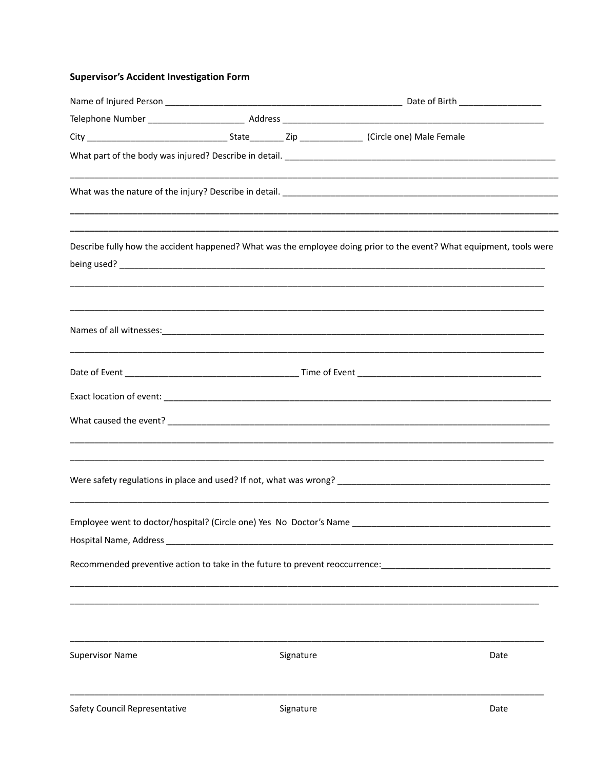# **Supervisor's Accident Investigation Form**

|                               |  |           | ,我们也不能在这里的,我们也不能在这里的,我们也不能在这里的,我们也不能不能不能不能不能不能不能不能不能不能。""我们的,我们也不能不能不能不能不能不能不能不能                                      |  |
|-------------------------------|--|-----------|-----------------------------------------------------------------------------------------------------------------------|--|
|                               |  |           | Describe fully how the accident happened? What was the employee doing prior to the event? What equipment, tools were  |  |
|                               |  |           | <u> 1980 - Johann Stoff, amerikan bestein de stad in de stad in de stad in de stad in de stad in de stad in de st</u> |  |
|                               |  |           |                                                                                                                       |  |
|                               |  |           |                                                                                                                       |  |
|                               |  |           |                                                                                                                       |  |
|                               |  |           | ,我们也不能在这里的人,我们也不能在这里的人,我们也不能在这里的人,我们也不能在这里的人,我们也不能在这里的人,我们也不能在这里的人,我们也不能在这里的人,我们                                      |  |
|                               |  |           | <u> 1989 - Johann Stoff, deutscher Stoff, der Stoff, der Stoff, der Stoff, der Stoff, der Stoff, der Stoff, der S</u> |  |
|                               |  |           | Recommended preventive action to take in the future to prevent reoccurrence: [14] [14] [14] [14] [14] [14] [14        |  |
|                               |  |           |                                                                                                                       |  |
| <b>Supervisor Name</b>        |  | Signature | Date                                                                                                                  |  |
| Safety Council Representative |  | Signature | Date                                                                                                                  |  |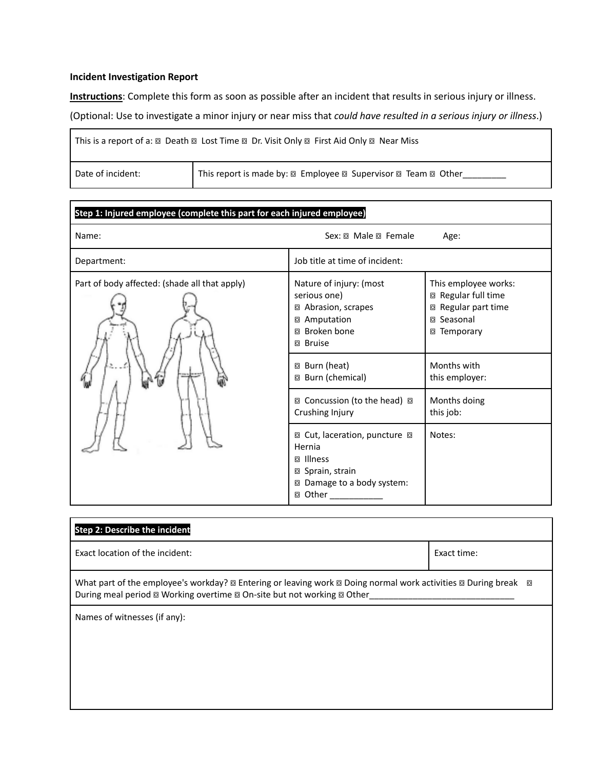#### **Incident Investigation Report**

**Instructions**: Complete this form as soon as possible after an incident that results in serious injury or illness.

(Optional: Use to investigate a minor injury or near miss that *could have resulted in a serious injury or illness*.)

| This is a report of a: $\circledcirc$ Death $\circledcirc$ Lost Time $\circledcirc$ Dr. Visit Only $\circledcirc$ First Aid Only $\circledcirc$ Near Miss |  |  |  |
|-----------------------------------------------------------------------------------------------------------------------------------------------------------|--|--|--|
| Date of incident:                                                                                                                                         |  |  |  |

| Step 1: Injured employee (complete this part for each injured employee) |                                                                                                                                    |                                                                                                 |  |
|-------------------------------------------------------------------------|------------------------------------------------------------------------------------------------------------------------------------|-------------------------------------------------------------------------------------------------|--|
| Name:                                                                   |                                                                                                                                    | Age:                                                                                            |  |
| Department:                                                             | Job title at time of incident:                                                                                                     |                                                                                                 |  |
| Part of body affected: (shade all that apply)                           | Nature of injury: (most<br>serious one)<br>Abrasion, scrapes<br>o<br>Amputation<br>o<br>Broken bone<br>o<br><b>Bruise</b><br>o     | This employee works:<br>□ Regular full time<br>□ Regular part time<br>□ Seasonal<br>□ Temporary |  |
|                                                                         | Burn (heat)<br>o<br>Burn (chemical)<br>o                                                                                           | Months with<br>this employer:                                                                   |  |
|                                                                         | 回 Concussion (to the head) 回<br>Crushing Injury                                                                                    | Months doing<br>this job:                                                                       |  |
|                                                                         | 2 Cut, laceration, puncture ■<br>Hernia<br>Illness<br>o<br>⊠ Sprain, strain<br>Damage to a body system:<br>o<br>□ Other __________ | Notes:                                                                                          |  |

| <b>Step 2: Describe the incident</b>                                                                     |             |  |  |
|----------------------------------------------------------------------------------------------------------|-------------|--|--|
| Exact location of the incident:                                                                          | Exact time: |  |  |
| During meal period <sup>®</sup> Working overtime <sup>®</sup> On-site but not working <sup>®</sup> Other |             |  |  |
| Names of witnesses (if any):                                                                             |             |  |  |
|                                                                                                          |             |  |  |
|                                                                                                          |             |  |  |
|                                                                                                          |             |  |  |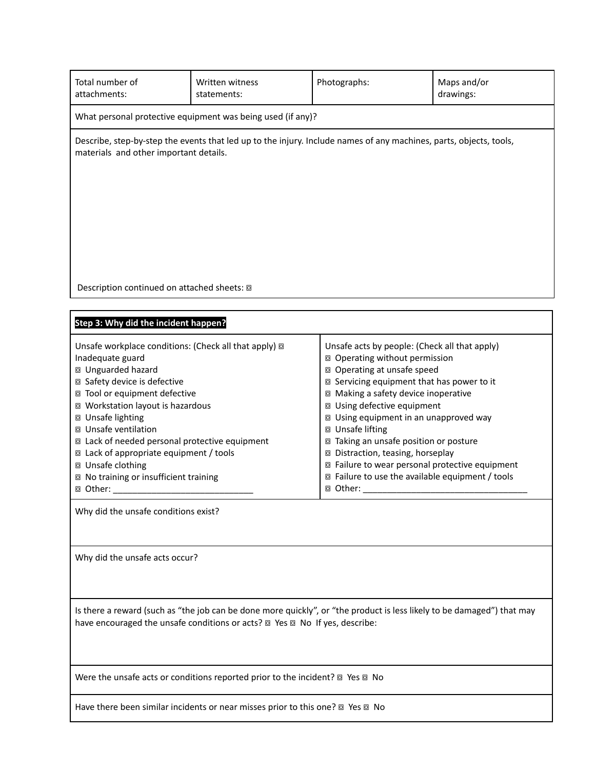| Total number of<br>attachments:                                                                                                                                                                                                                                                                                                                                                                                                                                                                             | Written witness<br>statements:                                                 | Photographs:                                                                                                                                                                                                                                                                                                                                                                                                                                                                                        | Maps and/or<br>drawings: |
|-------------------------------------------------------------------------------------------------------------------------------------------------------------------------------------------------------------------------------------------------------------------------------------------------------------------------------------------------------------------------------------------------------------------------------------------------------------------------------------------------------------|--------------------------------------------------------------------------------|-----------------------------------------------------------------------------------------------------------------------------------------------------------------------------------------------------------------------------------------------------------------------------------------------------------------------------------------------------------------------------------------------------------------------------------------------------------------------------------------------------|--------------------------|
| What personal protective equipment was being used (if any)?                                                                                                                                                                                                                                                                                                                                                                                                                                                 |                                                                                |                                                                                                                                                                                                                                                                                                                                                                                                                                                                                                     |                          |
| Describe, step-by-step the events that led up to the injury. Include names of any machines, parts, objects, tools,<br>materials and other important details.                                                                                                                                                                                                                                                                                                                                                |                                                                                |                                                                                                                                                                                                                                                                                                                                                                                                                                                                                                     |                          |
|                                                                                                                                                                                                                                                                                                                                                                                                                                                                                                             |                                                                                |                                                                                                                                                                                                                                                                                                                                                                                                                                                                                                     |                          |
| Description continued on attached sheets: @                                                                                                                                                                                                                                                                                                                                                                                                                                                                 |                                                                                |                                                                                                                                                                                                                                                                                                                                                                                                                                                                                                     |                          |
| Step 3: Why did the incident happen?                                                                                                                                                                                                                                                                                                                                                                                                                                                                        |                                                                                |                                                                                                                                                                                                                                                                                                                                                                                                                                                                                                     |                          |
| Unsafe workplace conditions: (Check all that apply) @<br>Inadequate guard<br>□ Unguarded hazard<br>□ Safety device is defective<br>□ Tool or equipment defective<br>⊠ Workstation layout is hazardous<br>□ Unsafe lighting<br>□ Unsafe ventilation<br>□ Lack of needed personal protective equipment<br>□ Lack of appropriate equipment / tools<br>□ Unsafe clothing<br>□ No training or insufficient training<br><b>◎ Other:</b><br>Why did the unsafe conditions exist?<br>Why did the unsafe acts occur? |                                                                                | Unsafe acts by people: (Check all that apply)<br>□ Operating without permission<br>□ Operating at unsafe speed<br>□ Servicing equipment that has power to it<br>□ Making a safety device inoperative<br>□ Using defective equipment<br>□ Using equipment in an unapproved way<br>□ Unsafe lifting<br>□ Taking an unsafe position or posture<br>□ Distraction, teasing, horseplay<br>□ Failure to wear personal protective equipment<br>□ Failure to use the available equipment / tools<br>□ Other: |                          |
|                                                                                                                                                                                                                                                                                                                                                                                                                                                                                                             |                                                                                |                                                                                                                                                                                                                                                                                                                                                                                                                                                                                                     |                          |
| Is there a reward (such as "the job can be done more quickly", or "the product is less likely to be damaged") that may<br>have encouraged the unsafe conditions or acts? @ Yes @ No If yes, describe:                                                                                                                                                                                                                                                                                                       |                                                                                |                                                                                                                                                                                                                                                                                                                                                                                                                                                                                                     |                          |
| Were the unsafe acts or conditions reported prior to the incident? <sup>®</sup> Yes <sup>®</sup> No                                                                                                                                                                                                                                                                                                                                                                                                         |                                                                                |                                                                                                                                                                                                                                                                                                                                                                                                                                                                                                     |                          |
|                                                                                                                                                                                                                                                                                                                                                                                                                                                                                                             | Have there been similar incidents or near misses prior to this one? 2 Yes 2 No |                                                                                                                                                                                                                                                                                                                                                                                                                                                                                                     |                          |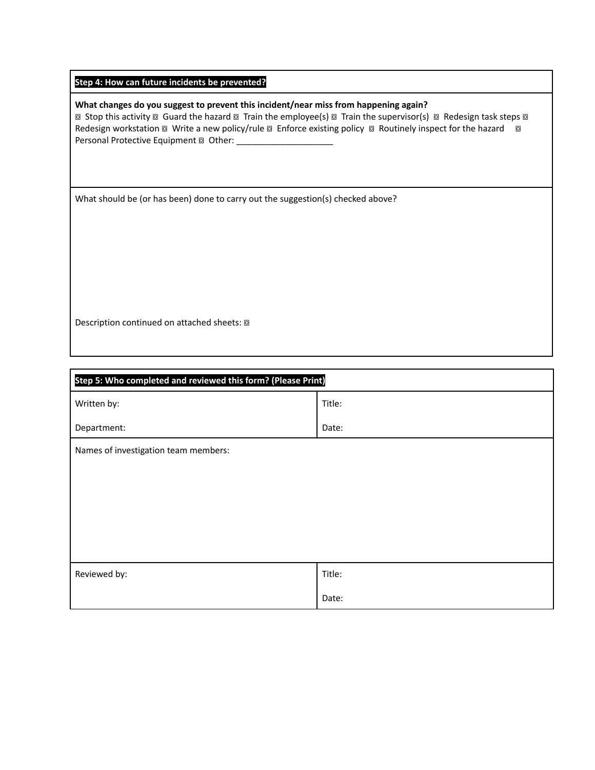#### **What changes do you suggest to prevent this incident/near miss from happening again?**

**a** Stop this activity a Guard the hazard a Train the employee(s) a Train the supervisor(s) a Redesign task steps a Redesign workstation @ Write a new policy/rule @ Enforce existing policy @ Routinely inspect for the hazard @ Personal Protective Equipment @ Other: \_\_\_\_

What should be (or has been) done to carry out the suggestion(s) checked above?

Description continued on attached sheets:  $\boxdot$ 

| Step 5: Who completed and reviewed this form? (Please Print) |        |  |
|--------------------------------------------------------------|--------|--|
| Written by:                                                  | Title: |  |
| Department:                                                  | Date:  |  |
| Names of investigation team members:                         |        |  |
|                                                              |        |  |
|                                                              |        |  |
|                                                              |        |  |
|                                                              |        |  |
|                                                              |        |  |
| Reviewed by:                                                 | Title: |  |
|                                                              | Date:  |  |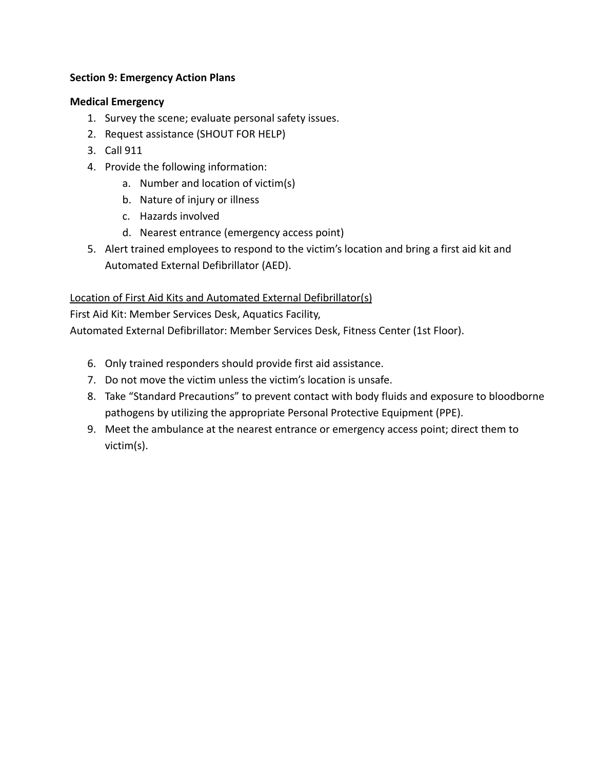# **Section 9: Emergency Action Plans**

# **Medical Emergency**

- 1. Survey the scene; evaluate personal safety issues.
- 2. Request assistance (SHOUT FOR HELP)
- 3. Call 911
- 4. Provide the following information:
	- a. Number and location of victim(s)
	- b. Nature of injury or illness
	- c. Hazards involved
	- d. Nearest entrance (emergency access point)
- 5. Alert trained employees to respond to the victim's location and bring a first aid kit and Automated External Defibrillator (AED).

# Location of First Aid Kits and Automated External Defibrillator(s)

First Aid Kit: Member Services Desk, Aquatics Facility,

Automated External Defibrillator: Member Services Desk, Fitness Center (1st Floor).

- 6. Only trained responders should provide first aid assistance.
- 7. Do not move the victim unless the victim's location is unsafe.
- 8. Take "Standard Precautions" to prevent contact with body fluids and exposure to bloodborne pathogens by utilizing the appropriate Personal Protective Equipment (PPE).
- 9. Meet the ambulance at the nearest entrance or emergency access point; direct them to victim(s).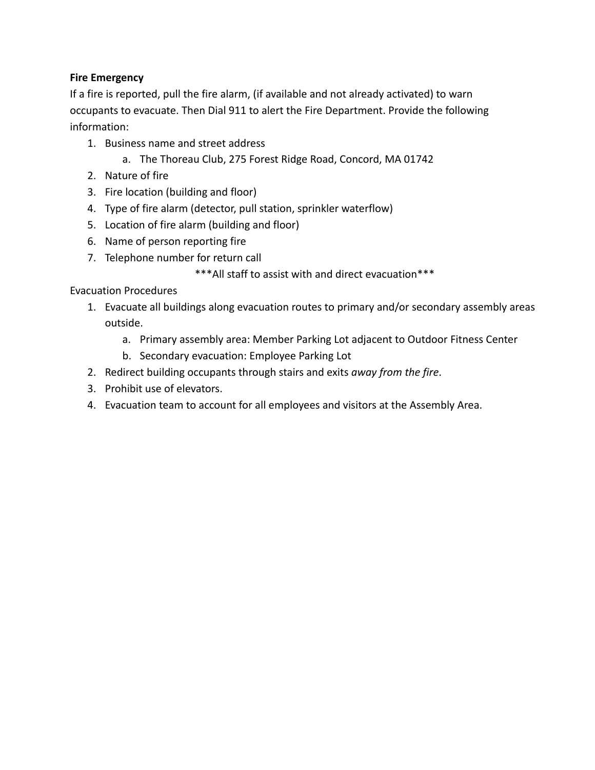# **Fire Emergency**

If a fire is reported, pull the fire alarm, (if available and not already activated) to warn occupants to evacuate. Then Dial 911 to alert the Fire Department. Provide the following information:

- 1. Business name and street address
	- a. The Thoreau Club, 275 Forest Ridge Road, Concord, MA 01742
- 2. Nature of fire
- 3. Fire location (building and floor)
- 4. Type of fire alarm (detector, pull station, sprinkler waterflow)
- 5. Location of fire alarm (building and floor)
- 6. Name of person reporting fire
- 7. Telephone number for return call

\*\*\*All staff to assist with and direct evacuation\*\*\*

# Evacuation Procedures

- 1. Evacuate all buildings along evacuation routes to primary and/or secondary assembly areas outside.
	- a. Primary assembly area: Member Parking Lot adjacent to Outdoor Fitness Center
	- b. Secondary evacuation: Employee Parking Lot
- 2. Redirect building occupants through stairs and exits *away from the fire*.
- 3. Prohibit use of elevators.
- 4. Evacuation team to account for all employees and visitors at the Assembly Area.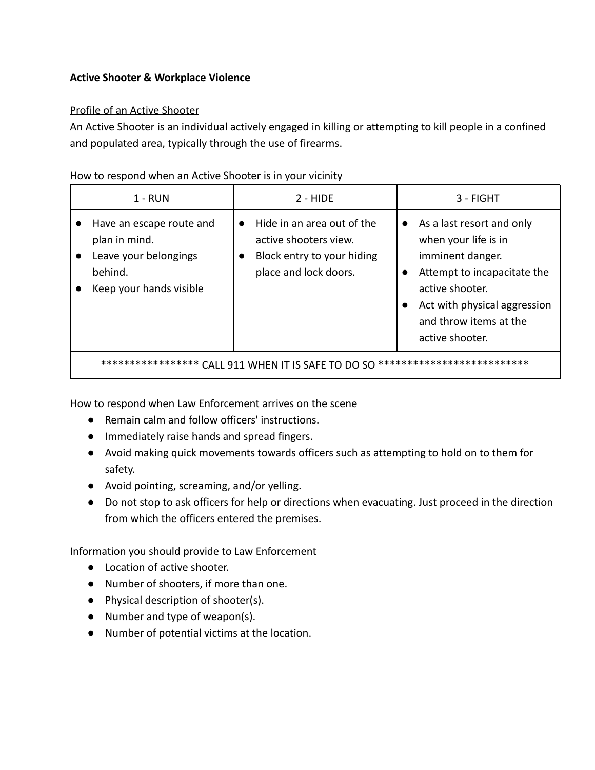# **Active Shooter & Workplace Violence**

# Profile of an Active Shooter

An Active Shooter is an individual actively engaged in killing or attempting to kill people in a confined and populated area, typically through the use of firearms.

# How to respond when an Active Shooter is in your vicinity

| $1 - RUN$                                                                                                | $2 - HIDE$                                                                                                              | 3 - FIGHT                                                                                                                                                                                            |
|----------------------------------------------------------------------------------------------------------|-------------------------------------------------------------------------------------------------------------------------|------------------------------------------------------------------------------------------------------------------------------------------------------------------------------------------------------|
| Have an escape route and<br>plan in mind.<br>Leave your belongings<br>behind.<br>Keep your hands visible | Hide in an area out of the<br>$\bullet$<br>active shooters view.<br>Block entry to your hiding<br>place and lock doors. | As a last resort and only<br>when your life is in<br>imminent danger.<br>Attempt to incapacitate the<br>active shooter.<br>Act with physical aggression<br>and throw items at the<br>active shooter. |
| **************<br>***************<br>CALL 911 WHEN IT IS SAFE TO DO SO                                   |                                                                                                                         |                                                                                                                                                                                                      |

How to respond when Law Enforcement arrives on the scene

- Remain calm and follow officers' instructions.
- Immediately raise hands and spread fingers.
- Avoid making quick movements towards officers such as attempting to hold on to them for safety.
- Avoid pointing, screaming, and/or yelling.
- Do not stop to ask officers for help or directions when evacuating. Just proceed in the direction from which the officers entered the premises.

Information you should provide to Law Enforcement

- Location of active shooter.
- Number of shooters, if more than one.
- Physical description of shooter(s).
- Number and type of weapon(s).
- Number of potential victims at the location.